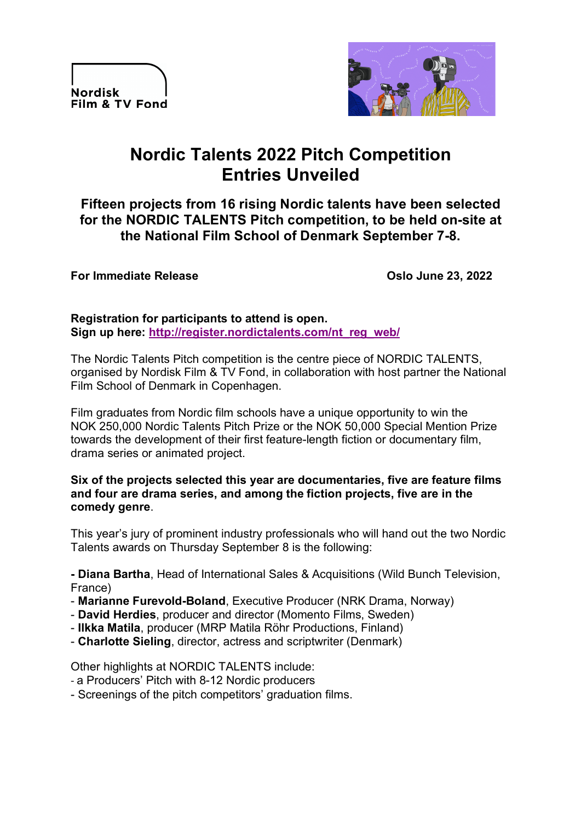**Nordisk** Film & TV Fond



# **Nordic Talents 2022 Pitch Competition Entries Unveiled**

**Fifteen projects from 16 rising Nordic talents have been selected for the NORDIC TALENTS Pitch competition, to be held on-site at the National Film School of Denmark September 7-8.**

#### **For Immediate Release Contract Contract Contract Contract Contract Contract Contract Contract Contract Contract Contract Contract Contract Contract Contract Contract Contract Contract Contract Contract Contract Contract C**

#### **Registration for participants to attend is open. Sign up here: http://register.nordictalents.com/nt\_reg\_web/**

The Nordic Talents Pitch competition is the centre piece of NORDIC TALENTS, organised by Nordisk Film & TV Fond, in collaboration with host partner the National Film School of Denmark in Copenhagen.

Film graduates from Nordic film schools have a unique opportunity to win the NOK 250,000 Nordic Talents Pitch Prize or the NOK 50,000 Special Mention Prize towards the development of their first feature-length fiction or documentary film, drama series or animated project.

#### **Six of the projects selected this year are documentaries, five are feature films and four are drama series, and among the fiction projects, five are in the comedy genre**.

This year's jury of prominent industry professionals who will hand out the two Nordic Talents awards on Thursday September 8 is the following:

**- Diana Bartha**, Head of International Sales & Acquisitions (Wild Bunch Television, France)

- **Marianne Furevold-Boland**, Executive Producer (NRK Drama, Norway)
- **David Herdies**, producer and director (Momento Films, Sweden)
- **Ilkka Matila**, producer (MRP Matila Röhr Productions, Finland)
- **Charlotte Sieling**, director, actress and scriptwriter (Denmark)

Other highlights at NORDIC TALENTS include:

- a Producers' Pitch with 8-12 Nordic producers
- Screenings of the pitch competitors' graduation films.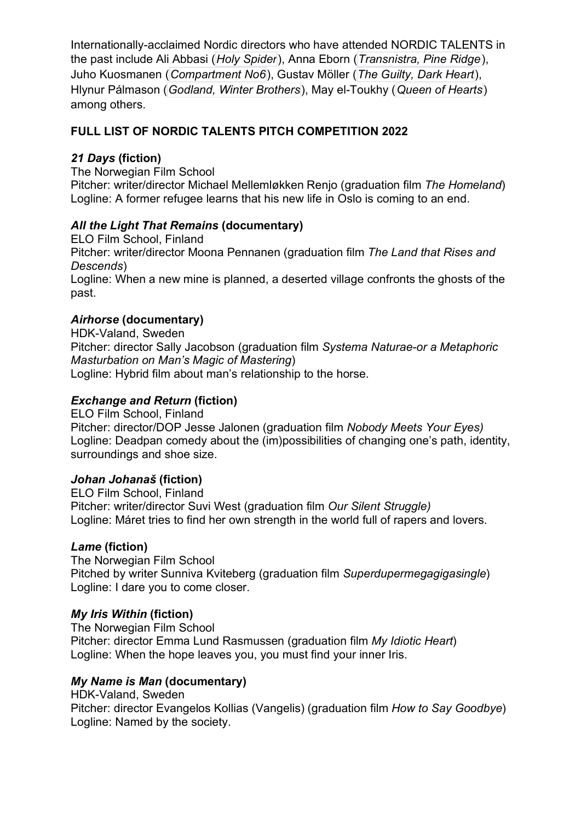Internationally-acclaimed Nordic directors who have attended NORDIC TALENTS in the past include Ali Abbasi (*Holy Spider*), Anna Eborn (*Transnistra, Pine Ridge*), Juho Kuosmanen (*Compartment No6*), Gustav Möller (*The Guilty, Dark Heart*), Hlynur Pálmason (*Godland, Winter Brothers*), May el-Toukhy (*Queen of Hearts*) among others.

# **FULL LIST OF NORDIC TALENTS PITCH COMPETITION 2022**

## *21 Days* **(fiction)**

The Norwegian Film School

Pitcher: writer/director Michael Mellemløkken Renjo (graduation film *The Homeland*) Logline: A former refugee learns that his new life in Oslo is coming to an end.

## *All the Light That Remains* **(documentary)**

ELO Film School, Finland Pitcher: writer/director Moona Pennanen (graduation film *The Land that Rises and Descends*) Logline: When a new mine is planned, a deserted village confronts the ghosts of the past.

## *Airhorse* **(documentary)**

HDK-Valand, Sweden Pitcher: director Sally Jacobson (graduation film *Systema Naturae-or a Metaphoric Masturbation on Man's Magic of Mastering*) Logline: Hybrid film about man's relationship to the horse.

## *Exchange and Return* **(fiction)**

ELO Film School, Finland Pitcher: director/DOP Jesse Jalonen (graduation film *Nobody Meets Your Eyes)* Logline: Deadpan comedy about the (im)possibilities of changing one's path, identity, surroundings and shoe size.

#### *Johan Johanaš* **(fiction)**

ELO Film School, Finland Pitcher: writer/director Suvi West (graduation film *Our Silent Struggle)* Logline: Máret tries to find her own strength in the world full of rapers and lovers.

#### *Lame* **(fiction)**

The Norwegian Film School Pitched by writer Sunniva Kviteberg (graduation film *Superdupermegagigasingle*) Logline: I dare you to come closer.

#### *My Iris Within* **(fiction)**

The Norwegian Film School Pitcher: director Emma Lund Rasmussen (graduation film *My Idiotic Heart*) Logline: When the hope leaves you, you must find your inner Iris.

#### *My Name is Man* **(documentary)**

HDK-Valand, Sweden Pitcher: director Evangelos Kollias (Vangelis) (graduation film *How to Say Goodbye*) Logline: Named by the society.